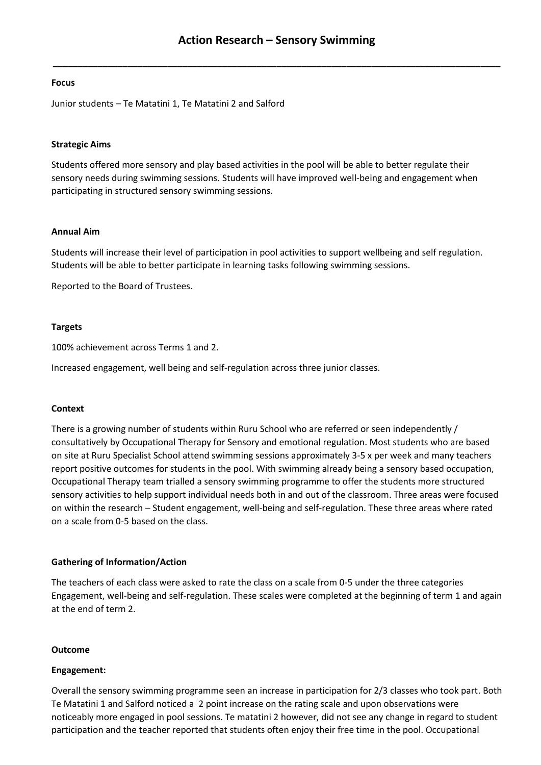**\_\_\_\_\_\_\_\_\_\_\_\_\_\_\_\_\_\_\_\_\_\_\_\_\_\_\_\_\_\_\_\_\_\_\_\_\_\_\_\_\_\_\_\_\_\_\_\_\_\_\_\_\_\_\_\_\_\_\_\_\_\_\_\_\_\_\_\_\_\_\_\_\_\_\_\_\_\_\_\_\_\_\_\_\_\_\_\_\_\_**

#### **Focus**

Junior students – Te Matatini 1, Te Matatini 2 and Salford

#### **Strategic Aims**

Students offered more sensory and play based activities in the pool will be able to better regulate their sensory needs during swimming sessions. Students will have improved well-being and engagement when participating in structured sensory swimming sessions.

#### **Annual Aim**

Students will increase their level of participation in pool activities to support wellbeing and self regulation. Students will be able to better participate in learning tasks following swimming sessions.

Reported to the Board of Trustees.

#### **Targets**

100% achievement across Terms 1 and 2.

Increased engagement, well being and self-regulation across three junior classes.

#### **Context**

There is a growing number of students within Ruru School who are referred or seen independently / consultatively by Occupational Therapy for Sensory and emotional regulation. Most students who are based on site at Ruru Specialist School attend swimming sessions approximately 3-5 x per week and many teachers report positive outcomes for students in the pool. With swimming already being a sensory based occupation, Occupational Therapy team trialled a sensory swimming programme to offer the students more structured sensory activities to help support individual needs both in and out of the classroom. Three areas were focused on within the research – Student engagement, well-being and self-regulation. These three areas where rated on a scale from 0-5 based on the class.

### **Gathering of Information/Action**

The teachers of each class were asked to rate the class on a scale from 0-5 under the three categories Engagement, well-being and self-regulation. These scales were completed at the beginning of term 1 and again at the end of term 2.

#### **Outcome**

#### **Engagement:**

Overall the sensory swimming programme seen an increase in participation for 2/3 classes who took part. Both Te Matatini 1 and Salford noticed a 2 point increase on the rating scale and upon observations were noticeably more engaged in pool sessions. Te matatini 2 however, did not see any change in regard to student participation and the teacher reported that students often enjoy their free time in the pool. Occupational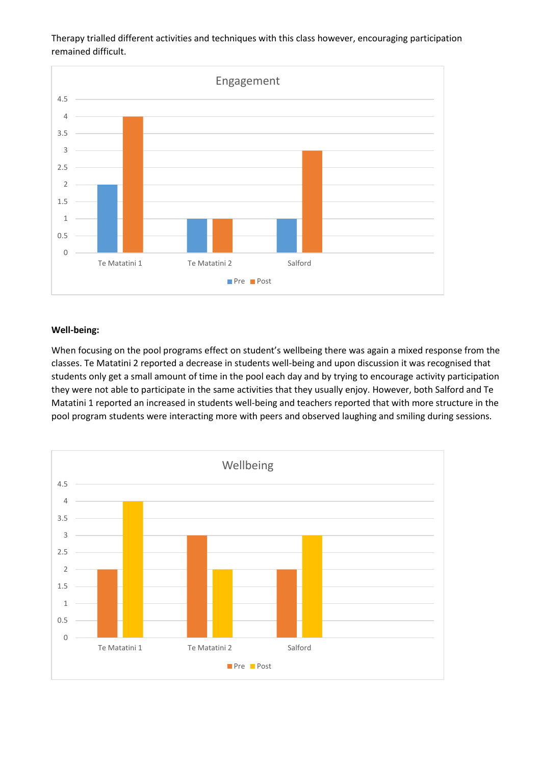Therapy trialled different activities and techniques with this class however, encouraging participation remained difficult.



## **Well-being:**

When focusing on the pool programs effect on student's wellbeing there was again a mixed response from the classes. Te Matatini 2 reported a decrease in students well-being and upon discussion it was recognised that students only get a small amount of time in the pool each day and by trying to encourage activity participation they were not able to participate in the same activities that they usually enjoy. However, both Salford and Te Matatini 1 reported an increased in students well-being and teachers reported that with more structure in the pool program students were interacting more with peers and observed laughing and smiling during sessions.

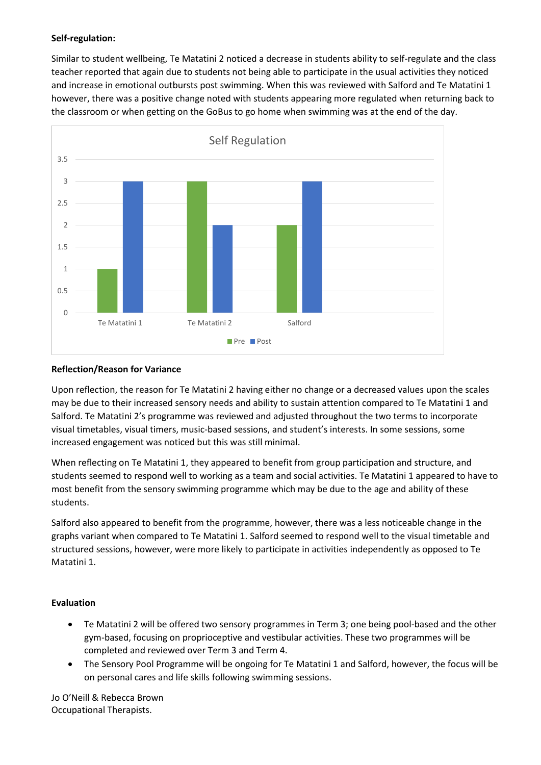# **Self-regulation:**

Similar to student wellbeing, Te Matatini 2 noticed a decrease in students ability to self-regulate and the class teacher reported that again due to students not being able to participate in the usual activities they noticed and increase in emotional outbursts post swimming. When this was reviewed with Salford and Te Matatini 1 however, there was a positive change noted with students appearing more regulated when returning back to the classroom or when getting on the GoBus to go home when swimming was at the end of the day.



## **Reflection/Reason for Variance**

Upon reflection, the reason for Te Matatini 2 having either no change or a decreased values upon the scales may be due to their increased sensory needs and ability to sustain attention compared to Te Matatini 1 and Salford. Te Matatini 2's programme was reviewed and adjusted throughout the two terms to incorporate visual timetables, visual timers, music-based sessions, and student's interests. In some sessions, some increased engagement was noticed but this was still minimal.

When reflecting on Te Matatini 1, they appeared to benefit from group participation and structure, and students seemed to respond well to working as a team and social activities. Te Matatini 1 appeared to have to most benefit from the sensory swimming programme which may be due to the age and ability of these students.

Salford also appeared to benefit from the programme, however, there was a less noticeable change in the graphs variant when compared to Te Matatini 1. Salford seemed to respond well to the visual timetable and structured sessions, however, were more likely to participate in activities independently as opposed to Te Matatini 1.

# **Evaluation**

- Te Matatini 2 will be offered two sensory programmes in Term 3; one being pool-based and the other gym-based, focusing on proprioceptive and vestibular activities. These two programmes will be completed and reviewed over Term 3 and Term 4.
- The Sensory Pool Programme will be ongoing for Te Matatini 1 and Salford, however, the focus will be on personal cares and life skills following swimming sessions.

Jo O'Neill & Rebecca Brown Occupational Therapists.